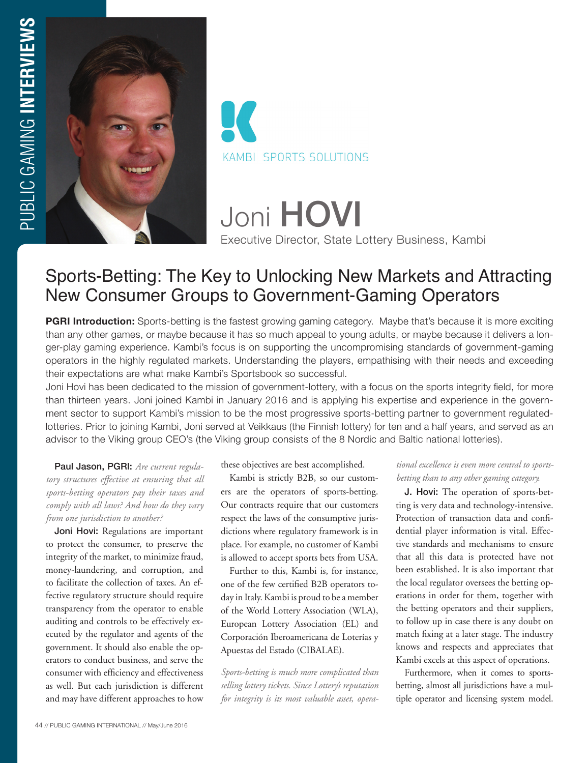



Joni HOVI Executive Director, State Lottery Business, Kambi

# Sports-Betting: The Key to Unlocking New Markets and Attracting New Consumer Groups to Government-Gaming Operators

**PGRI Introduction:** Sports-betting is the fastest growing gaming category. Maybe that's because it is more exciting than any other games, or maybe because it has so much appeal to young adults, or maybe because it delivers a longer-play gaming experience. Kambi's focus is on supporting the uncompromising standards of government-gaming operators in the highly regulated markets. Understanding the players, empathising with their needs and exceeding their expectations are what make Kambi's Sportsbook so successful.

Joni Hovi has been dedicated to the mission of government-lottery, with a focus on the sports integrity field, for more than thirteen years. Joni joined Kambi in January 2016 and is applying his expertise and experience in the government sector to support Kambi's mission to be the most progressive sports-betting partner to government regulatedlotteries. Prior to joining Kambi, Joni served at Veikkaus (the Finnish lottery) for ten and a half years, and served as an advisor to the Viking group CEO's (the Viking group consists of the 8 Nordic and Baltic national lotteries).

Paul Jason, PGRI: *Are current regulatory structures effective at ensuring that all sports-betting operators pay their taxes and comply with all laws? And how do they vary from one jurisdiction to another?*

Joni Hovi: Regulations are important to protect the consumer, to preserve the integrity of the market, to minimize fraud, money-laundering, and corruption, and to facilitate the collection of taxes. An effective regulatory structure should require transparency from the operator to enable auditing and controls to be effectively executed by the regulator and agents of the government. It should also enable the operators to conduct business, and serve the consumer with efficiency and effectiveness as well. But each jurisdiction is different and may have different approaches to how these objectives are best accomplished.

Kambi is strictly B2B, so our customers are the operators of sports-betting. Our contracts require that our customers respect the laws of the consumptive jurisdictions where regulatory framework is in place. For example, no customer of Kambi is allowed to accept sports bets from USA.

Further to this, Kambi is, for instance, one of the few certified B2B operators today in Italy. Kambi is proud to be a member of the World Lottery Association (WLA), European Lottery Association (EL) and Corporación Iberoamericana de Loterías y Apuestas del Estado (CIBALAE).

*Sports-betting is much more complicated than selling lottery tickets. Since Lottery's reputation for integrity is its most valuable asset, opera-*

#### *tional excellence is even more central to sportsbetting than to any other gaming category.*

J. Hovi: The operation of sports-betting is very data and technology-intensive. Protection of transaction data and confidential player information is vital. Effective standards and mechanisms to ensure that all this data is protected have not been established. It is also important that the local regulator oversees the betting operations in order for them, together with the betting operators and their suppliers, to follow up in case there is any doubt on match fixing at a later stage. The industry knows and respects and appreciates that Kambi excels at this aspect of operations.

Furthermore, when it comes to sportsbetting, almost all jurisdictions have a multiple operator and licensing system model.